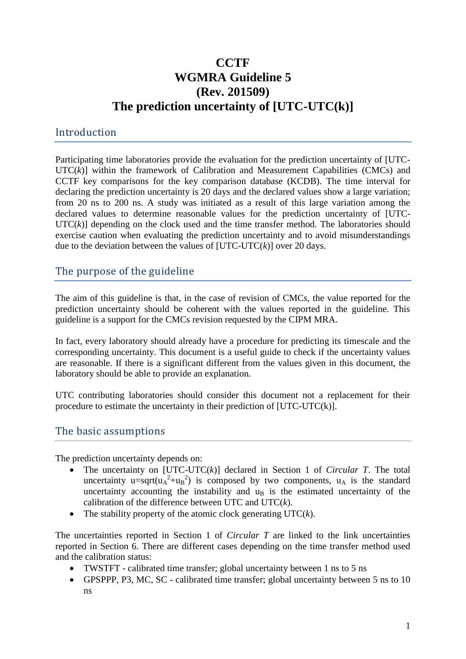# **CCTF WGMRA Guideline 5 (Rev. 201509) The prediction uncertainty of [UTC-UTC(k)]**

#### Introduction

Participating time laboratories provide the evaluation for the prediction uncertainty of [UTC- $UTC(k)$ ] within the framework of Calibration and Measurement Capabilities (CMCs) and CCTF key comparisons for the key comparison database (KCDB). The time interval for declaring the prediction uncertainty is 20 days and the declared values show a large variation; from 20 ns to 200 ns. A study was initiated as a result of this large variation among the declared values to determine reasonable values for the prediction uncertainty of [UTC-UTC(*k*)] depending on the clock used and the time transfer method. The laboratories should exercise caution when evaluating the prediction uncertainty and to avoid misunderstandings due to the deviation between the values of [UTC-UTC(*k*)] over 20 days.

## The purpose of the guideline

The aim of this guideline is that, in the case of revision of CMCs, the value reported for the prediction uncertainty should be coherent with the values reported in the guideline. This guideline is a support for the CMCs revision requested by the CIPM MRA.

In fact, every laboratory should already have a procedure for predicting its timescale and the corresponding uncertainty. This document is a useful guide to check if the uncertainty values are reasonable. If there is a significant different from the values given in this document, the laboratory should be able to provide an explanation.

UTC contributing laboratories should consider this document not a replacement for their procedure to estimate the uncertainty in their prediction of [UTC-UTC(k)].

#### The basic assumptions

The prediction uncertainty depends on:

- The uncertainty on [UTC-UTC(*k*)] declared in Section 1 of *Circular T*. The total uncertainty u=sqrt( $u_A^2+u_B^2$ ) is composed by two components,  $u_A$  is the standard uncertainty accounting the instability and  $u<sub>B</sub>$  is the estimated uncertainty of the calibration of the difference between UTC and UTC(*k*).
- The stability property of the atomic clock generating UTC(*k*).

The uncertainties reported in Section 1 of *Circular T* are linked to the link uncertainties reported in Section 6. There are different cases depending on the time transfer method used and the calibration status:

- TWSTFT calibrated time transfer; global uncertainty between 1 ns to 5 ns
- GPSPPP, P3, MC, SC calibrated time transfer; global uncertainty between 5 ns to 10 ns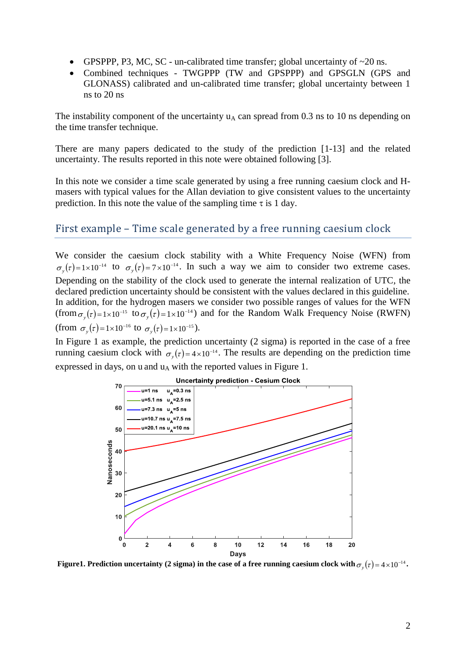- GPSPPP, P3, MC, SC un-calibrated time transfer; global uncertainty of  $\sim$ 20 ns.
- Combined techniques TWGPPP (TW and GPSPPP) and GPSGLN (GPS and GLONASS) calibrated and un-calibrated time transfer; global uncertainty between 1 ns to 20 ns

The instability component of the uncertainty  $u_A$  can spread from 0.3 ns to 10 ns depending on the time transfer technique.

There are many papers dedicated to the study of the prediction [1-13] and the related uncertainty. The results reported in this note were obtained following [3].

In this note we consider a time scale generated by using a free running caesium clock and Hmasers with typical values for the Allan deviation to give consistent values to the uncertainty prediction. In this note the value of the sampling time  $\tau$  is 1 day.

#### First example – Time scale generated by a free running caesium clock

We consider the caesium clock stability with a White Frequency Noise (WFN) from  $\sigma_y(\tau) = 1 \times 10^{-14}$  to  $\sigma_y(\tau) = 7 \times 10^{-14}$ . In such a way we aim to consider two extreme cases. Depending on the stability of the clock used to generate the internal realization of UTC, the declared prediction uncertainty should be consistent with the values declared in this guideline. In addition, for the hydrogen masers we consider two possible ranges of values for the WFN (from  $\sigma_y(\tau) = 1 \times 10^{-15}$  to  $\sigma_y(\tau) = 1 \times 10^{-14}$ ) and for the Random Walk Frequency Noise (RWFN) (from  $\sigma_y(\tau) = 1 \times 10^{-16}$  to  $\sigma_y(\tau) = 1 \times 10^{-15}$ ).

In Figure 1 as example, the prediction uncertainty (2 sigma) is reported in the case of a free running caesium clock with  $\sigma_y(\tau) = 4 \times 10^{-14}$ . The results are depending on the prediction time expressed in days, on u and  $u_A$  with the reported values in Figure 1.



Figure1. Prediction uncertainty (2 sigma) in the case of a free running caesium clock with  $\sigma_y(\tau)$  = 4  $\times10^{-14}$ .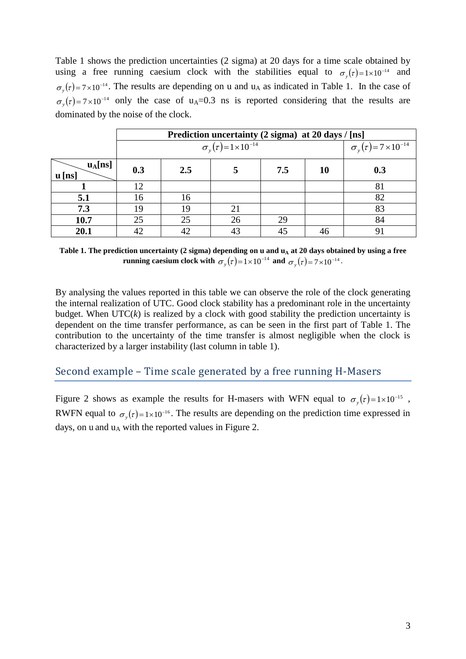Table 1 shows the prediction uncertainties (2 sigma) at 20 days for a time scale obtained by using a free running caesium clock with the stabilities equal to  $\sigma_y(\tau) = 1 \times 10^{-14}$  and  $\sigma_y(\tau) = 7 \times 10^{-14}$ . The results are depending on u and u<sub>A</sub> as indicated in Table 1. In the case of  $\sigma_y(\tau) = 7 \times 10^{-14}$  only the case of u<sub>A</sub>=0.3 ns is reported considering that the results are dominated by the noise of the clock.

|                                 | Prediction uncertainty (2 sigma) at 20 days / [ns] |                                        |    |     |    |     |  |  |
|---------------------------------|----------------------------------------------------|----------------------------------------|----|-----|----|-----|--|--|
|                                 |                                                    | $\sigma_{v}(\tau) = 7 \times 10^{-14}$ |    |     |    |     |  |  |
| $u_A[$ ns]<br>$\mathbf{u}$ [ns] | 0.3                                                | 2.5                                    |    | 7.5 | 10 | 0.3 |  |  |
|                                 | 12                                                 |                                        |    |     |    | 81  |  |  |
| 5.1                             | 16                                                 | 16                                     |    |     |    | 82  |  |  |
| 7.3                             | 19                                                 | 19                                     | 21 |     |    | 83  |  |  |
| 10.7                            | 25                                                 | 25                                     | 26 | 29  |    | 84  |  |  |
| 20.1                            | 42                                                 | 42                                     | 43 | 45  | 46 |     |  |  |

Table 1. The prediction uncertainty (2 sigma) depending on **u** and **u**<sub>A</sub> at 20 days obtained by using a free **running caesium clock with**  $\sigma_y(\tau) = 1 \times 10^{-14}$  **and**  $\sigma_y(\tau) = 7 \times 10^{-14}$ **.** 

By analysing the values reported in this table we can observe the role of the clock generating the internal realization of UTC. Good clock stability has a predominant role in the uncertainty budget. When  $\text{UTC}(k)$  is realized by a clock with good stability the prediction uncertainty is dependent on the time transfer performance, as can be seen in the first part of Table 1. The contribution to the uncertainty of the time transfer is almost negligible when the clock is characterized by a larger instability (last column in table 1).

#### Second example – Time scale generated by a free running H-Masers

Figure 2 shows as example the results for H-masers with WFN equal to  $\sigma_y(\tau) = 1 \times 10^{-15}$ , RWFN equal to  $\sigma_y(\tau) = 1 \times 10^{-16}$ . The results are depending on the prediction time expressed in days, on u and  $u_A$  with the reported values in Figure 2.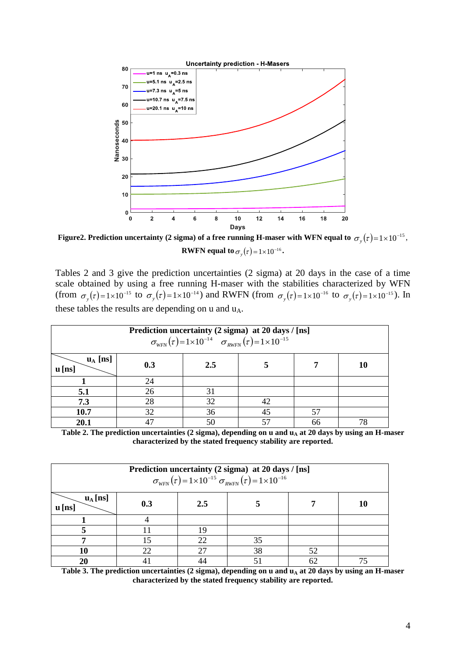

**Figure2. Prediction uncertainty (2 sigma) of a free running H-maser with WFN equal to**  $\sigma_y(\tau)$  **= 1**  $\times$  **10<sup>-15</sup>, RWFN equal to**  $\sigma_y(\tau) = 1 \times 10^{-16}$ .

Tables 2 and 3 give the prediction uncertainties (2 sigma) at 20 days in the case of a time scale obtained by using a free running H-maser with the stabilities characterized by WFN (from  $\sigma_y(\tau) = 1 \times 10^{-15}$  to  $\sigma_y(\tau) = 1 \times 10^{-14}$ ) and RWFN (from  $\sigma_y(\tau) = 1 \times 10^{-16}$  to  $\sigma_y(\tau) = 1 \times 10^{-15}$ ). In these tables the results are depending on u and u<sub>A</sub>.

| Prediction uncertainty (2 sigma) at 20 days / [ns]<br>$\sigma_{WFW}(\tau) = 1 \times 10^{-14} \quad \sigma_{WFW}(\tau) = 1 \times 10^{-15}$ |     |     |    |    |    |  |  |
|---------------------------------------------------------------------------------------------------------------------------------------------|-----|-----|----|----|----|--|--|
| $\mathbf{u}_{\rm A}$ [ns]<br>$\mathbf{u}$ [ns]                                                                                              | 0.3 | 2.5 |    |    | 10 |  |  |
|                                                                                                                                             | 24  |     |    |    |    |  |  |
| 5.1                                                                                                                                         | 26  | 31  |    |    |    |  |  |
| 7.3                                                                                                                                         | 28  | 32  | 42 |    |    |  |  |
| 10.7                                                                                                                                        | 32  | 36  | 45 | 57 |    |  |  |
| 20.1                                                                                                                                        | 17  | 50  | 57 | 66 | 78 |  |  |

**Table 2. The prediction uncertainties** (2 sigma), depending on u and  $\mathbf{u}_\text{A}$  at 20 days by using an H-maser **characterized by the stated frequency stability are reported.**

| Prediction uncertainty (2 sigma) at 20 days / [ns]<br>$\sigma_{WFN}(\tau) = 1 \times 10^{-15} \sigma_{RWFN}(\tau) = 1 \times 10^{-16}$ |     |         |    |    |    |  |  |
|----------------------------------------------------------------------------------------------------------------------------------------|-----|---------|----|----|----|--|--|
| $u_A$ [ns]<br>$\mathbf{u}$ [ns]                                                                                                        | 0.3 | $2.5\,$ |    |    | 10 |  |  |
|                                                                                                                                        |     |         |    |    |    |  |  |
|                                                                                                                                        |     | 19      |    |    |    |  |  |
|                                                                                                                                        |     | 22      | 35 |    |    |  |  |
| 10                                                                                                                                     | 22  |         | 38 | 52 |    |  |  |
| 20                                                                                                                                     |     |         |    | 62 |    |  |  |

Table 3. The prediction uncertainties (2 sigma), depending on u and u<sub>A</sub> at 20 days by using an H-maser **characterized by the stated frequency stability are reported.**